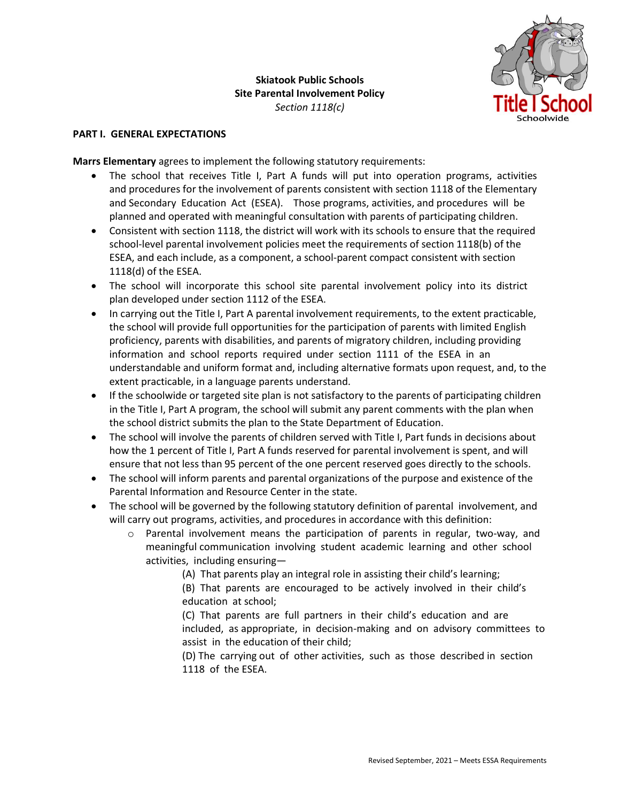

## **PART I. GENERAL EXPECTATIONS**

**Marrs Elementary** agrees to implement the following statutory requirements:

- The school that receives Title I, Part A funds will put into operation programs, activities and procedures for the involvement of parents consistent with section 1118 of the Elementary and Secondary Education Act (ESEA). Those programs, activities, and procedures will be planned and operated with meaningful consultation with parents of participating children.
- Consistent with section 1118, the district will work with its schools to ensure that the required school-level parental involvement policies meet the requirements of section 1118(b) of the ESEA, and each include, as a component, a school-parent compact consistent with section 1118(d) of the ESEA.
- The school will incorporate this school site parental involvement policy into its district plan developed under section 1112 of the ESEA.
- In carrying out the Title I, Part A parental involvement requirements, to the extent practicable, the school will provide full opportunities for the participation of parents with limited English proficiency, parents with disabilities, and parents of migratory children, including providing information and school reports required under section 1111 of the ESEA in an understandable and uniform format and, including alternative formats upon request, and, to the extent practicable, in a language parents understand.
- If the schoolwide or targeted site plan is not satisfactory to the parents of participating children in the Title I, Part A program, the school will submit any parent comments with the plan when the school district submits the plan to the State Department of Education.
- The school will involve the parents of children served with Title I, Part funds in decisions about how the 1 percent of Title I, Part A funds reserved for parental involvement is spent, and will ensure that not less than 95 percent of the one percent reserved goes directly to the schools.
- The school will inform parents and parental organizations of the purpose and existence of the Parental Information and Resource Center in the state.
- The school will be governed by the following statutory definition of parental involvement, and will carry out programs, activities, and procedures in accordance with this definition:
	- o Parental involvement means the participation of parents in regular, two-way, and meaningful communication involving student academic learning and other school activities, including ensuring—
		- (A) That parents play an integral role in assisting their child's learning;
		- (B) That parents are encouraged to be actively involved in their child's education at school;
		- (C) That parents are full partners in their child's education and are included, as appropriate, in decision-making and on advisory committees to assist in the education of their child;
		- (D) The carrying out of other activities, such as those described in section 1118 of the ESEA.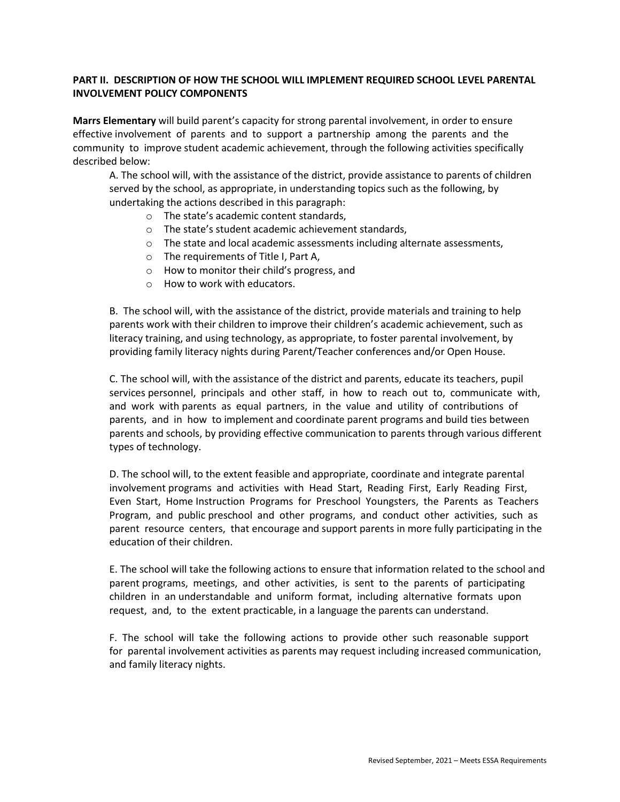## **PART II. DESCRIPTION OF HOW THE SCHOOL WILL IMPLEMENT REQUIRED SCHOOL LEVEL PARENTAL INVOLVEMENT POLICY COMPONENTS**

**Marrs Elementary** will build parent's capacity for strong parental involvement, in order to ensure effective involvement of parents and to support a partnership among the parents and the community to improve student academic achievement, through the following activities specifically described below:

A. The school will, with the assistance of the district, provide assistance to parents of children served by the school, as appropriate, in understanding topics such as the following, by undertaking the actions described in this paragraph:

- o The state's academic content standards,
- o The state's student academic achievement standards,
- $\circ$  The state and local academic assessments including alternate assessments,
- o The requirements of Title I, Part A,
- o How to monitor their child's progress, and
- o How to work with educators.

B. The school will, with the assistance of the district, provide materials and training to help parents work with their children to improve their children's academic achievement, such as literacy training, and using technology, as appropriate, to foster parental involvement, by providing family literacy nights during Parent/Teacher conferences and/or Open House.

C. The school will, with the assistance of the district and parents, educate its teachers, pupil services personnel, principals and other staff, in how to reach out to, communicate with, and work with parents as equal partners, in the value and utility of contributions of parents, and in how to implement and coordinate parent programs and build ties between parents and schools, by providing effective communication to parents through various different types of technology.

D. The school will, to the extent feasible and appropriate, coordinate and integrate parental involvement programs and activities with Head Start, Reading First, Early Reading First, Even Start, Home Instruction Programs for Preschool Youngsters, the Parents as Teachers Program, and public preschool and other programs, and conduct other activities, such as parent resource centers, that encourage and support parents in more fully participating in the education of their children.

E. The school will take the following actions to ensure that information related to the school and parent programs, meetings, and other activities, is sent to the parents of participating children in an understandable and uniform format, including alternative formats upon request, and, to the extent practicable, in a language the parents can understand.

F. The school will take the following actions to provide other such reasonable support for parental involvement activities as parents may request including increased communication, and family literacy nights.